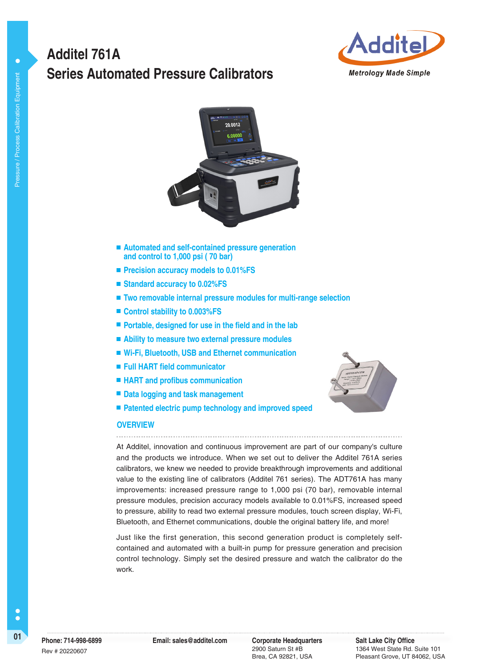# **Series Automated Pressure Calibrators Additel 761A**





- Automated and self-contained pressure generation **and control to 1,000 psi ( 70 bar)**
- **Precision accuracy models to 0.01%FS**
- **Standard accuracy to 0.02%FS**
- Two removable internal pressure modules for multi-range selection
- Control stability to 0.003%FS
- **Portable, designed for use in the field and in the lab**
- **Ability to measure two external pressure modules**
- **Wi-Fi, Bluetooth, USB and Ethernet communication**
- **Full HART field communicator**
- HART and profibus communication
- Data logging and task management
- **Patented electric pump technology and improved speed**

## **OVERVIEW**

At Additel, innovation and continuous improvement are part of our company's culture and the products we introduce. When we set out to deliver the Additel 761A series calibrators, we knew we needed to provide breakthrough improvements and additional value to the existing line of calibrators (Additel 761 series). The ADT761A has many improvements: increased pressure range to 1,000 psi (70 bar), removable internal pressure modules, precision accuracy models available to 0.01%FS, increased speed to pressure, ability to read two external pressure modules, touch screen display, Wi-Fi, Bluetooth, and Ethernet communications, double the original battery life, and more!

Just like the first generation, this second generation product is completely selfcontained and automated with a built-in pump for pressure generation and precision control technology. Simply set the desired pressure and watch the calibrator do the work.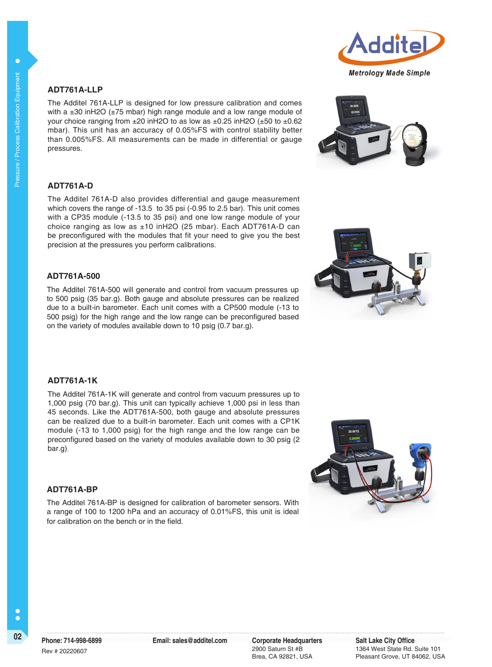

# **ADT761A-LLP**

The Additel 761A-LLP is designed for low pressure calibration and comes with a  $\pm 30$  inH2O ( $\pm 75$  mbar) high range module and a low range module of your choice ranging from  $\pm 20$  inH2O to as low as  $\pm 0.25$  inH2O ( $\pm 50$  to  $\pm 0.62$ ) mbar). This unit has an accuracy of 0.05%FS with control stability better than 0.005%FS. All measurements can be made in differential or gauge pressures.

# **ADT761A-D**

The Additel 761A-D also provides differential and gauge measurement which covers the range of -13.5 to 35 psi (-0.95 to 2.5 bar). This unit comes with a CP35 module (-13.5 to 35 psi) and one low range module of your choice ranging as low as  $\pm$ 10 inH2O (25 mbar). Each ADT761A-D can be preconfigured with the modules that fit your need to give you the best precision at the pressures you perform calibrations.

## **ADT761A-500**

The Additel 761A-500 will generate and control from vacuum pressures up to 500 psig (35 bar.g). Both gauge and absolute pressures can be realized due to a built-in barometer. Each unit comes with a CP500 module (-13 to 500 psig) for the high range and the low range can be preconfigured based on the variety of modules available down to 10 psig (0.7 bar.g).

## **ADT761A-1K**

The Additel 761A-1K will generate and control from vacuum pressures up to 1,000 psig (70 bar.g). This unit can typically achieve 1,000 psi in less than 45 seconds. Like the ADT761A-500, both gauge and absolute pressures can be realized due to a built-in barometer. Each unit comes with a CP1K module (-13 to 1,000 psig) for the high range and the low range can be preconfigured based on the variety of modules available down to 30 psig (2 bar.g).

#### **ADT761A-BP**

The Additel 761A-BP is designed for calibration of barometer sensors. With a range of 100 to 1200 hPa and an accuracy of 0.01%FS, this unit is ideal for calibration on the bench or in the field.









r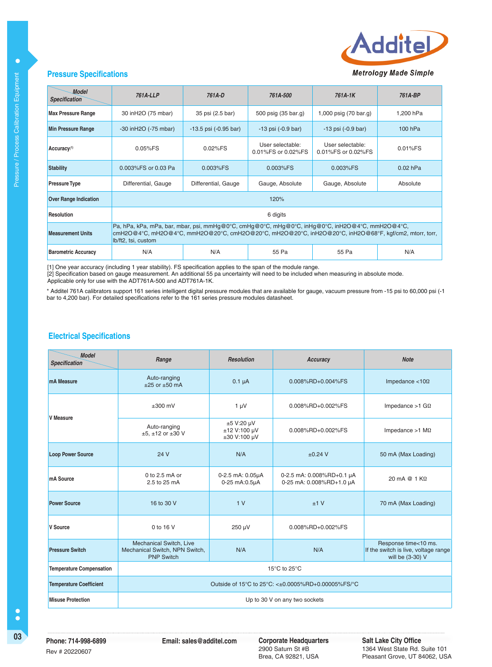

#### **Metrology Made Simple**

# **Pressure Specifications**

| <b>Model</b><br><b>Specification</b> | 761A-LLP                                                                                                                                                                                                                        | 761A-D                    | 761A-500                               | 761A-1K                                | 761A-BP    |  |  |
|--------------------------------------|---------------------------------------------------------------------------------------------------------------------------------------------------------------------------------------------------------------------------------|---------------------------|----------------------------------------|----------------------------------------|------------|--|--|
| <b>Max Pressure Range</b>            | 30 in H2O (75 mbar)                                                                                                                                                                                                             | 35 psi (2.5 bar)          | 500 psig (35 bar.g)                    | 1,000 psig (70 bar.g)                  | 1,200 hPa  |  |  |
| <b>Min Pressure Range</b>            | $-30$ in H2O $(-75$ mbar)                                                                                                                                                                                                       | $-13.5$ psi $(-0.95$ bar) | $-13$ psi $(-0.9$ bar)                 | $-13$ psi $(-0.9$ bar)                 | 100 hPa    |  |  |
| Accuracy <sup>(1)</sup>              | $0.05%$ FS                                                                                                                                                                                                                      | $0.02%$ FS                | User selectable:<br>0.01%FS or 0.02%FS | User selectable:<br>0.01%FS or 0.02%FS | $0.01%$ FS |  |  |
| <b>Stability</b>                     | 0.003%FS or 0.03 Pa                                                                                                                                                                                                             | $0.003%$ FS               | $0.003%$ FS                            | $0.003%$ FS                            | $0.02$ hPa |  |  |
| <b>Pressure Type</b>                 | Differential, Gauge                                                                                                                                                                                                             | Differential, Gauge       | Gauge, Absolute                        | Gauge, Absolute                        | Absolute   |  |  |
| <b>Over Range Indication</b>         | 120%                                                                                                                                                                                                                            |                           |                                        |                                        |            |  |  |
| <b>Resolution</b>                    | 6 digits                                                                                                                                                                                                                        |                           |                                        |                                        |            |  |  |
| <b>Measurement Units</b>             | Pa, hPa, kPa, mPa, bar, mbar, psi, mmHq@0°C, cmHq@0°C, mHq@0°C, inHq@0°C, inH2O@4°C, mmH2O@4°C,<br>cmH2O@4°C, mH2O@4°C, mmH2O@20°C, cmH2O@20°C, mH2O@20°C, inH2O@20°C, inH2O@68°F, kgf/cm2, mtorr, torr,<br>lb/ft2, tsi, custom |                           |                                        |                                        |            |  |  |
| <b>Barometric Accuracy</b>           | N/A                                                                                                                                                                                                                             | N/A                       | 55 Pa                                  | 55 Pa                                  | N/A        |  |  |

[1] One year accuracy (including 1 year stability). FS specification applies to the span of the module range.

[2] Specification based on gauge measurement. An additional 55 pa uncertainty will need to be included when measuring in absolute mode. Applicable only for use with the ADT761A-500 and ADT761A-1K.

\* Additel 761A calibrators support 161 series intelligent digital pressure modules that are available for gauge, vacuum pressure from -15 psi to 60,000 psi (-1 bar to 4,200 bar). For detailed specifications refer to the 161 series pressure modules datasheet.

## **Electrical Specifications**

| <b>Model</b><br><b>Specification</b> | Range                                                                          | <b>Resolution</b>                          | Accuracy                                              | <b>Note</b>                                                                      |  |  |
|--------------------------------------|--------------------------------------------------------------------------------|--------------------------------------------|-------------------------------------------------------|----------------------------------------------------------------------------------|--|--|
| mA Measure                           | Auto-ranging<br>$±25$ or $±50$ mA                                              | $0.1 \mu A$                                | $0.008\%$ RD+ $0.004\%$ FS                            | Impedance $<$ 10 $\Omega$                                                        |  |  |
| <b>V</b> Measure                     | $±300$ mV                                                                      | $1 \mu V$                                  | 0.008%RD+0.002%FS                                     | Impedance $>1$ G $\Omega$                                                        |  |  |
|                                      | Auto-ranging<br>$±5, ±12$ or $±30$ V                                           | ±5 V:20 µV<br>±12 V:100 µV<br>±30 V:100 µV | 0.008%RD+0.002%FS                                     | Impedance $>1$ M $\Omega$                                                        |  |  |
| <b>Loop Power Source</b>             | 24 V                                                                           | N/A                                        | $\pm 0.24$ V                                          | 50 mA (Max Loading)                                                              |  |  |
| mA Source                            | 0 to 2.5 mA or<br>2.5 to 25 mA                                                 | 0-2.5 mA: 0.05µA<br>0-25 mA:0.5µA          | 0-2.5 mA: 0.008%RD+0.1 µA<br>0-25 mA: 0.008%RD+1.0 µA | 20 mA @ 1 KΩ                                                                     |  |  |
| <b>Power Source</b>                  | 16 to 30 V                                                                     | 1 <sub>V</sub>                             | ±1V                                                   | 70 mA (Max Loading)                                                              |  |  |
| V Source                             | 0 to 16 V                                                                      | 250 µV                                     | 0.008%RD+0.002%FS                                     |                                                                                  |  |  |
| <b>Pressure Switch</b>               | Mechanical Switch, Live<br>Mechanical Switch, NPN Switch,<br><b>PNP Switch</b> | N/A                                        | N/A                                                   | Response time<10 ms.<br>If the switch is live, voltage range<br>will be (3-30) V |  |  |
| <b>Temperature Compensation</b>      | 15°C to 25°C                                                                   |                                            |                                                       |                                                                                  |  |  |
| <b>Temperature Coefficient</b>       | Outside of 15°C to 25°C: < $\pm$ 0.0005%RD+0.00005%FS/°C                       |                                            |                                                       |                                                                                  |  |  |
| <b>Misuse Protection</b>             | Up to 30 V on any two sockets                                                  |                                            |                                                       |                                                                                  |  |  |

**Salt Lake City Office** 1364 West State Rd. Suite 101 Pleasant Grove, UT 84062, USA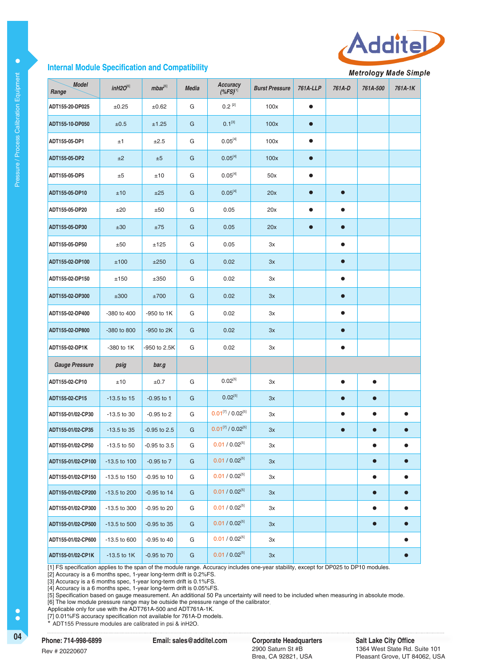

# **Internal Module Specification and Compatibility**

**Metrology Made Simple** 

| <b>Model</b><br>Range | inH2O <sup>[6]</sup> | $mbar^{[6]}$     | <b>Media</b> | Accuracy<br>$(*$ FS) <sup>[1]</sup> | <b>Burst Pressure</b> | 761A-LLP  | 761A-D    | 761A-500  | 761A-1K   |
|-----------------------|----------------------|------------------|--------------|-------------------------------------|-----------------------|-----------|-----------|-----------|-----------|
| ADT155-20-DP025       | ±0.25                | ±0.62            | G            | $0.2^{[2]}$                         | 100x                  | $\bullet$ |           |           |           |
| ADT155-10-DP050       | ±0.5                 | ±1.25            | G            | $0.1^{[3]}$                         | 100x                  | $\bullet$ |           |           |           |
| ADT155-05-DP1         | ±1                   | ±2.5             | G            | $0.05^{[4]}$                        | 100x                  | $\bullet$ |           |           |           |
| ADT155-05-DP2         | ±2                   | ±5               | G            | $0.05^{[4]}$                        | 100x                  | $\bullet$ |           |           |           |
| ADT155-05-DP5         | ±5                   | ±10              | G            | $0.05^{[4]}$                        | 50x                   | $\bullet$ |           |           |           |
| ADT155-05-DP10        | ±10                  | ±25              | G            | $0.05^{[4]}$                        | 20x                   | $\bullet$ | $\bullet$ |           |           |
| ADT155-05-DP20        | ±20                  | ±50              | G            | 0.05                                | 20x                   | $\bullet$ | $\bullet$ |           |           |
| ADT155-05-DP30        | ±30                  | ±75              | G            | 0.05                                | 20x                   | $\bullet$ | $\bullet$ |           |           |
| ADT155-05-DP50        | ±50                  | ±125             | G            | 0.05                                | Зx                    |           | $\bullet$ |           |           |
| ADT155-02-DP100       | ±100                 | ±250             | G            | 0.02                                | 3x                    |           | $\bullet$ |           |           |
| ADT155-02-DP150       | ±150                 | ±350             | G            | 0.02                                | 3x                    |           | $\bullet$ |           |           |
| ADT155-02-DP300       | ±300                 | ±700             | G            | 0.02                                | 3x                    |           | $\bullet$ |           |           |
| ADT155-02-DP400       | -380 to 400          | -950 to 1K       | G            | 0.02                                | 3x                    |           | $\bullet$ |           |           |
| ADT155-02-DP800       | -380 to 800          | -950 to 2K       | G            | 0.02                                | 3x                    |           | $\bullet$ |           |           |
| ADT155-02-DP1K        | -380 to 1K           | -950 to 2.5K     | G            | 0.02                                | 3x                    |           | $\bullet$ |           |           |
| <b>Gauge Pressure</b> | psig                 | bar.g            |              |                                     |                       |           |           |           |           |
| ADT155-02-CP10        | ±10                  | ±0.7             | G            | $0.02^{[5]}$                        | 3x                    |           | $\bullet$ | $\bullet$ |           |
| ADT155-02-CP15        | $-13.5$ to 15        | $-0.95$ to 1     | G            | $0.02^{[5]}$                        | 3x                    |           | $\bullet$ | $\bullet$ |           |
| ADT155-01/02-CP30     | -13.5 to 30          | $-0.95$ to 2     | G            | $0.01^{[7]}/0.02^{[5]}$             | Зx                    |           | $\bullet$ | $\bullet$ | $\bullet$ |
| ADT155-01/02-CP35     | $-13.5$ to 35        | $-0.95$ to 2.5   | G            | $0.01^{[7]}/0.02^{[5]}$             | 3x                    |           | $\bullet$ | $\bullet$ |           |
| ADT155-01/02-CP50     | -13.5 to 50          | $-0.95$ to $3.5$ | G            | $0.01 / 0.02^{[5]}$                 | Зx                    |           |           | $\bullet$ |           |
| ADT155-01/02-CP100    | $-13.5$ to 100       | $-0.95$ to $7$   | G            | $0.01 / 0.02^{[5]}$                 | 3x                    |           |           | $\bullet$ |           |
| ADT155-01/02-CP150    | -13.5 to 150         | $-0.95$ to 10    | G            | $0.01 / 0.02^{[5]}$                 | Зx                    |           |           | $\bullet$ | $\bullet$ |
| ADT155-01/02-CP200    | -13.5 to 200         | $-0.95$ to 14    | G            | $0.01 / 0.02^{[5]}$                 | 3x                    |           |           | $\bullet$ |           |
| ADT155-01/02-CP300    | -13.5 to 300         | $-0.95$ to 20    | G            | $0.01 / 0.02^{[5]}$                 | Зx                    |           |           | $\bullet$ | $\bullet$ |
| ADT155-01/02-CP500    | -13.5 to 500         | $-0.95$ to 35    | G            | $0.01 / 0.02^{[5]}$                 | 3x                    |           |           | $\bullet$ |           |
| ADT155-01/02-CP600    | -13.5 to 600         | $-0.95$ to $40$  | G            | $0.01 / 0.02^{[5]}$                 | Зx                    |           |           |           |           |
| ADT155-01/02-CP1K     | $-13.5$ to $1K$      | $-0.95$ to $70$  | G            | $0.01 / 0.02^{[5]}$                 | 3x                    |           |           |           |           |

[1] FS specification applies to the span of the module range. Accuracy includes one-year stability, except for DP025 to DP10 modules.

[2] Accuracy is a 6 months spec, 1-year long-term drift is 0.2%FS.

[3] Accuracy is a 6 months spec, 1-year long-term drift is 0.1%FS.

[4] Accuracy is a 6 months spec, 1-year long-term drift is 0.05%FS.

[5] Specification based on gauge measurement. An additional 50 Pa uncertainty will need to be included when measuring in absolute mode.

[6] The low module pressure range may be outside the pressure range of the calibrator.

Applicable only for use with the ADT761A-500 and ADT761A-1K.

[7] 0.01%FS accuracy specification not available for 761A-D models.

ADT155 Pressure modules are calibrated in psi & inH2O.

 $\bullet$ 

 $\bullet$ 

Rev # 20220607

**04 Corporate Headquarters**<br> **Email: sales@additel.com**Corporate Headquarters 2900 Saturn St #B Brea, CA 92821, USA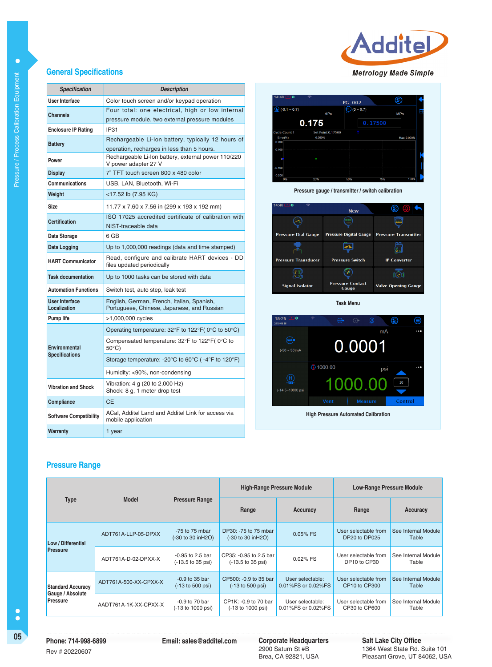

## **General Specifications**

| <b>Specification</b>                  | <b>Description</b>                                                                       |  |  |  |  |
|---------------------------------------|------------------------------------------------------------------------------------------|--|--|--|--|
| User Interface                        | Color touch screen and/or keypad operation                                               |  |  |  |  |
| <b>Channels</b>                       | Four total: one electrical, high or low internal                                         |  |  |  |  |
|                                       | pressure module, two external pressure modules                                           |  |  |  |  |
| <b>Enclosure IP Rating</b>            | IP31                                                                                     |  |  |  |  |
| <b>Battery</b>                        | Rechargeable Li-Ion battery, typically 12 hours of                                       |  |  |  |  |
|                                       | operation, recharges in less than 5 hours.                                               |  |  |  |  |
| Power                                 | Rechargeable Li-Ion battery, external power 110/220<br>V power adapter 27 V              |  |  |  |  |
| <b>Display</b>                        | 7" TFT touch screen 800 x 480 color                                                      |  |  |  |  |
| Communications                        | USB. LAN. Bluetooth. Wi-Fi                                                               |  |  |  |  |
| Weight                                | <17.52 lb (7.95 KG)                                                                      |  |  |  |  |
| <b>Size</b>                           | 11.77 x 7.60 x 7.56 in (299 x 193 x 192 mm)                                              |  |  |  |  |
| <b>Certification</b>                  | ISO 17025 accredited certificate of calibration with                                     |  |  |  |  |
|                                       | NIST-traceable data                                                                      |  |  |  |  |
| Data Storage                          | 6 GB                                                                                     |  |  |  |  |
| Data Logging                          | Up to 1,000,000 readings (data and time stamped)                                         |  |  |  |  |
| <b>HART Communicator</b>              | Read, configure and calibrate HART devices - DD<br>files updated periodically            |  |  |  |  |
| <b>Task documentation</b>             | Up to 1000 tasks can be stored with data                                                 |  |  |  |  |
| <b>Automation Functions</b>           | Switch test, auto step, leak test                                                        |  |  |  |  |
| <b>User Interface</b><br>Localization | English, German, French, Italian, Spanish,<br>Portuguese, Chinese, Japanese, and Russian |  |  |  |  |
| <b>Pump life</b>                      | >1,000,000 cycles                                                                        |  |  |  |  |
|                                       | Operating temperature: $32^{\circ}F$ to $122^{\circ}F$ ( $0^{\circ}C$ to $50^{\circ}C$ ) |  |  |  |  |
| Environmental                         | Compensated temperature: 32°F to 122°F(0°C to<br>$50^{\circ}$ C)                         |  |  |  |  |
| <b>Specifications</b>                 | Storage temperature: -20°C to 60°C (-4°F to 120°F)                                       |  |  |  |  |
|                                       | Humidity: <90%, non-condensing                                                           |  |  |  |  |
| <b>Vibration and Shock</b>            | Vibration: 4 g (20 to 2,000 Hz)<br>Shock: 8 g, 1 meter drop test                         |  |  |  |  |
| Compliance                            | <b>CE</b>                                                                                |  |  |  |  |
| <b>Software Compatibility</b>         | ACal, Additel Land and Additel Link for access via<br>mobile application                 |  |  |  |  |
| Warranty                              | 1 year                                                                                   |  |  |  |  |



**Pressure gauge / transmitter / switch calibration**



**Task Menu**



**High Pressure Automated Calibration**

## **Pressure Range**

|                                                                 |                       |                                          |                                                              | <b>High-Range Pressure Module</b>      | <b>Low-Range Pressure Module</b>      |                              |  |
|-----------------------------------------------------------------|-----------------------|------------------------------------------|--------------------------------------------------------------|----------------------------------------|---------------------------------------|------------------------------|--|
| <b>Type</b>                                                     | <b>Model</b>          | <b>Pressure Range</b>                    | Range                                                        | Accuracy                               | Range                                 | Accuracy                     |  |
| Low / Differential<br><b>Pressure</b>                           | ADT761A-LLP-05-DPXX   | $-75$ to $75$ mbar<br>(-30 to 30 in H2O) | DP30: -75 to 75 mbar<br>(-30 to 30 inH2O)                    | $0.05\%$ FS                            | User selectable from<br>DP20 to DP025 | See Internal Module<br>Table |  |
|                                                                 | ADT761A-D-02-DPXX-X   | $-0.95$ to 2.5 bar<br>(-13.5 to 35 psi)  | CP35: -0.95 to 2.5 bar<br>(-13.5 to 35 psi)                  | $0.02\%$ FS                            | User selectable from<br>DP10 to CP30  | See Internal Module<br>Table |  |
| <b>Standard Accuracy</b><br>Gauge / Absolute<br><b>Pressure</b> | ADT761A-500-XX-CPXX-X | $-0.9$ to 35 bar<br>$(-13 to 500 psi)$   | CP500: -0.9 to 35 bar<br>$(-13 \text{ to } 500 \text{ psi})$ | User selectable:<br>0.01%FS or 0.02%FS | User selectable from<br>CP10 to CP300 | See Internal Module<br>Table |  |
|                                                                 | AADT761A-1K-XX-CPXX-X | $-0.9$ to 70 bar<br>(-13 to 1000 psi)    | CP1K: -0.9 to 70 bar<br>(-13 to 1000 psi)                    | User selectable:<br>0.01%FS or 0.02%FS | User selectable from<br>CP30 to CP600 | See Internal Module<br>Table |  |

 $\bullet$ 

Rev # 20220607

**Phone: 714-998-6899 Email: sales@additel.com**

**05 CORPORAGE CORPORATE CORPORATE CORPORATE CORPORATE CORPORATE CORPORATE PROPERTY PROPERTY CORPORATE PROPERTY CORPORATE PROPERTY PROPERTY PROPERTY PROPERTY CONDUCTS PROPERTY PROPERTY PROPERTY PROPERTY PROPERTY PROPERTY** 2900 Saturn St #B Brea, CA 92821, USA

**Salt Lake City Office** 1364 West State Rd. Suite 101 Pleasant Grove, UT 84062, USA